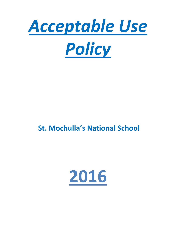

# **St. Mochulla's National School**

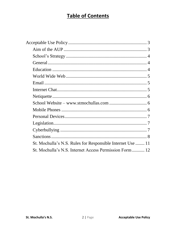# **Table of Contents**

| St. Mochulla's N.S. Rules for Responsible Internet Use  11 |
|------------------------------------------------------------|
| St. Mochulla's N.S. Internet Access Permission Form 12     |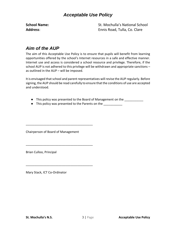### *Acceptable Use Policy*

<span id="page-2-0"></span>

**School Name:** St. Mochulla's National School **Address**: Ennis Road, Tulla, Co. Clare

# <span id="page-2-1"></span>*Aim of the AUP*

The aim of this Acceptable Use Policy is to ensure that pupils will benefit from learning opportunities offered by the school's Internet resources in a safe and effective manner. Internet use and access is considered a school resource and privilege. Therefore, if the school AUP is not adhered to this privilege will be withdrawn and appropriate sanctions – as outlined in the AUP – will be imposed.

It is envisaged that school and parent representatives will revise the AUP regularly. Before signing, the AUP should be read carefully to ensure that the conditions of use are accepted and understood.

- This policy was presented to the Board of Management on the \_\_\_\_\_\_\_\_\_\_\_\_
- This policy was presented to the Parents on the \_\_\_\_\_\_\_\_\_\_\_

Chairperson of Board of Management

\_\_\_\_\_\_\_\_\_\_\_\_\_\_\_\_\_\_\_\_\_\_\_\_\_\_\_\_\_\_\_\_\_\_\_\_\_\_\_

\_\_\_\_\_\_\_\_\_\_\_\_\_\_\_\_\_\_\_\_\_\_\_\_\_\_\_\_\_\_\_\_\_\_\_\_\_\_\_

\_\_\_\_\_\_\_\_\_\_\_\_\_\_\_\_\_\_\_\_\_\_\_\_\_\_\_\_\_\_\_\_\_\_\_\_\_\_\_

Brian Culloo, Principal

Mary Stack, ICT Co-Ordinator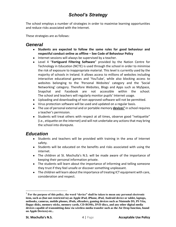# *School's Strategy*

<span id="page-3-0"></span>The school employs a number of strategies in order to maximise learning opportunities and reduce risks associated with the Internet.

These strategies are as follows:

### <span id="page-3-1"></span>*General*

- **Students are expected to follow the same rules for good behaviour and respectful conduct online as offline – See Code of Behaviour Policy**
- Internet sessions will always be supervised by a teacher.
- Level 4 "**Fortiguard Filtering Software**" provided by the Nation Centre for Technology in Education (NCTE) is used through the school in order to minimise the risk of exposure to inappropriate material. This level is currently used by the majority of schools in Ireland. It allows access to millions of websites including interactive educational games and 'YouTube', while also blocking access to websites belonging to the 'Personal Websites' category and the 'Social Networking' category. Therefore Websites, Blogs and Apps such as MySpace, Snapchat and Facebook are not accessible within the school. The school and teachers will regularly monitor pupils' Internet usage.
- Uploading and downloading of non-approved software will not be permitted.
- Virus protection software will be used and updated on a regular basis.
- The use of personal external and or portable memory **devices<sup>1</sup>** in school requires a teacher's permission.
- Students will treat others with respect at all times, observe good "netiquette" (i.e., etiquette on the internet) and will not undertake any actions that may bring the school into disrepute.

### <span id="page-3-2"></span>*Education*

- Students and teachers will be provided with training in the area of Internet safety.
- Students will be educated on the benefits and risks associated with using the internet.
- The children at St. Mochulla's N.S. will be made aware of the importance of keeping their personal information private.
- The students will learn about the importance of informing and telling someone they trust if they feel unsafe or discover something unpleasant.
- The children will learn about the importance of treating ICT equipment with care, consideration and respect.

 $\overline{a}$ 

<sup>1</sup> **For the purpose of this policy, the word "device" shall be taken to mean any personal electronic item, such as (but not restricted to) an Apple iPad, iPhone, iPod, Android device or tablet, laptops, netbooks, cameras, mobile phones, iPods, eReaders, gaming devices such as Nintendo DS, PS Vita, floppy disks, memory sticks, memory cards, CD-ROMs, DVD discs, and any other digital media devices capable of transmitting data via wireless media transfer such as the Air Drop function, found on Apple Devices) etc..**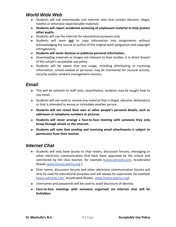### <span id="page-4-0"></span>*World Wide Web*

- Students will not intentionally visit Internet sites that contain obscene, illegal, hateful or otherwise objectionable materials.
- **Students will report accidental accessing of unpleasant material to help protect other pupils.**
- Students will use the Internet for educational purposes only.
- Students will learn **not** to copy information into assignments without acknowledging the source or author of the original work (plagiarism and copyright infringement).
- **Students will never disclose or publicise personal information.**
- Downloading materials or images not relevant to their studies, is in direct breach of the school's acceptable use policy.
- Students will be aware that any usage, including distributing or receiving information, school-related or personal, may be monitored for unusual activity, security and/or network management reasons.

# <span id="page-4-1"></span>*Email*

- This will be relevant to staff only, nevertheless, students may be taught how to use email.
- Students will not send or receive any material that is illegal, obscene, defamatory or that is intended to annoy or intimidate another person.
- **Students will not reveal their own or other people's personal details, such as addresses or telephone numbers or pictures.**
- **Students will never arrange a face-to-face meeting with someone they only know through emails or the internet.**
- **Students will note that sending and receiving email attachments is subject to permission from their teacher.**

# <span id="page-4-2"></span>*Internet Chat*

- Students will only have access to chat rooms, discussion forums, messaging or other electronic communication that have been approved by the school and sanctioned by the class teacher, for example [\(www.edmodo.com,](http://www.edmodo.com/) Accelerated Reader[,www.khanacademy.org](http://www.khanacademy.org/) ).
- Chat rooms, discussion forums and other electronic communication forums will only be used for educational purposes and will always be supervised, for example [\(www.edmodo.com,](http://www.edmodo.com/) Accelerated Reader, [www.khanacademy.org\)](http://www.khanacademy.org/).
- Usernames and passwords will be used to avoid disclosure of identity.
- **Face-to-face meetings with someone organised via Internet chat will be forbidden.**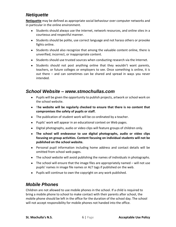# <span id="page-5-0"></span>*Netiquette*

**Netiquette** may be defined as appropriate social behaviour over computer networks and in particular in the online environment.

- Students should always use the internet, network resources, and online sites in a courteous and respectful manner.
- Students should be polite, use correct language and not harass others or provoke fights online.
- Students should also recognize that among the valuable content online, there is unverified, incorrect, or inappropriate content.
- Students should use trusted sources when conducting research via the Internet.
- Students should not post anything online that they wouldn't want parents, teachers, or future colleges or employers to see. Once something is online, it is out there – and can sometimes can be shared and spread in ways you never intended.

### <span id="page-5-1"></span>*School Website – www.stmochullas.com*

- Pupils will be given the opportunity to publish projects, artwork or school work on the school website.
- **The website will be regularly checked to ensure that there is no content that compromises the safety of pupils or staff.**
- The publication of student work will be co-ordinated by a teacher.
- Pupils' work will appear in an educational context on Web pages.
- Digital photographs, audio or video clips will feature groups of children only.
- **The school will endeavour to use digital photographs, audio or video clips focusing on group activities. Content focusing on individual students will not be published on the school website.**
- Personal pupil information including home address and contact details will be omitted from school web pages.
- The school website will avoid publishing the names of individuals in photographs.
- $\bullet$  The school will ensure that the image files are appropriately named will not use pupils' names in image file names or ALT tags if published on the web.
- Pupils will continue to own the copyright on any work published.

# <span id="page-5-2"></span>*Mobile Phones*

Children are not allowed to use mobile phones in the school. If a child is required to bring a mobile phone to school to make contact with their parents after school, the mobile phone should be left in the office for the duration of the school day. The school will not accept responsibility for mobile phones not handed into the office.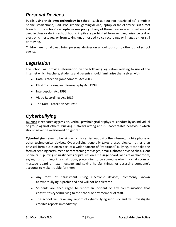# <span id="page-6-0"></span>*Personal Devices*

**Pupils using their own technology in school**, such as (but not restricted to) a mobile phone, smartphone, iPad, iPod, iPhone, gaming device, laptop, or tablet device **is in direct breach of the school's acceptable use policy,** if any of these devices are turned on and used in class or during school hours. Pupils are prohibited from sending nuisance text or electronic messages, or from taking unauthorized voice recordings or images either still or moving.

Children are not allowed bring personal devices on school tours or to other out of school events.

# <span id="page-6-1"></span>*Legislation*

The school will provide information on the following legislation relating to use of the Internet which teachers, students and parents should familiarise themselves with:

- Data Protection (Amendment) Act 2003
- Child Trafficking and Pornography Act 1998
- Interception Act 1993
- Video Recordings Act 1989
- The Data Protection Act 1988

# <span id="page-6-2"></span>*Cyberbullying*

**Bullying** is repeated aggression, verbal, psychological or physical conduct by an individual or group against others. Bullying is always wrong and is unacceptable behaviour which should never be overlooked or ignored.

**Cyberbullying** refers to bullying which is carried out using the internet, mobile phone or other technological devices. Cyberbullying generally takes a psychological rather than physical form but is often part of a wider pattern of 'traditional' bullying. It can take the form of sending nasty, mean or threatening messages, emails, photos or video clips, silent phone calls, putting up nasty posts or pictures on a message board, website or chat room, saying hurtful things in a chat room, pretending to be someone else in a chat room or message board or text message and saying hurtful things, or accessing someone's accounts to make trouble for them

- Any form of harassment using electronic devices, commonly known as cyberbullying is prohibited and will not be tolerated.
- Students are encouraged to report an incident or any communication that constitutes cyberbullying to the school or any member of staff.
- The school will take any report of cyberbullying seriously and will investigate credible reports immediately.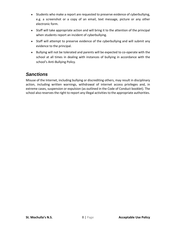- Students who make a report are requested to preserve evidence of cyberbullying, e.g. a screenshot or a copy of an email, text message, picture or any other electronic form.
- Staff will take appropriate action and will bring it to the attention of the principal when students report an incident of cyberbullying.
- Staff will attempt to preserve evidence of the cyberbullying and will submit any evidence to the principal.
- Bullying will not be tolerated and parents will be expected to co-operate with the school at all times in dealing with instances of bullying in accordance with the school's Anti-Bullying Policy.

# <span id="page-7-0"></span>*Sanctions*

Misuse of the Internet, including bullying or discrediting others, may result in disciplinary action, including written warnings, withdrawal of internet access privileges and, in extreme cases, suspension or expulsion (as outlined in the Code of Conduct booklet). The school also reserves the right to report any illegal activities to the appropriate authorities.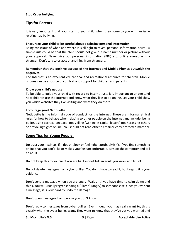#### **Stop Cyber bullying**

#### **Tips for Parents**

It is very important that you listen to your child when they come to you with an issue relating top bullying.

#### **Encourage your child to be careful about disclosing personal information.**

Being conscious of when and where it is all right to reveal personal information is vital. A simple rule could be that the child should not give out name number or picture without your approval. Never give out personal information (PIN) etc. online everyone is a stranger. Don't talk to or accept anything from strangers.

#### **Remember that the positive aspects of the Internet and Mobile Phones outweigh the negatives.**

The Internet is an excellent educational and recreational resource for children. Mobile phones can be a source of comfort and support for children and parents.

#### **Know your child's net use.**

To be able to guide your child with regard to Internet use, it is important to understand how children use the Internet and know what they like to do online. Let your child show you which websites they like visiting and what they do there.

#### **Encourage good Netiquette**

Netiquette is the informal code of conduct for the Internet. These are informal ethical rules for how to behave when relating to other people on the Internet and include: being polite, using correct language, not yelling (writing in capital letters) not harassing others or provoking fights online. You should not read other's email or copy protected material.

#### **Some Tips for Young People.**

**Do** trust your instincts. If it doesn't look or feel right it probably isn't. If you find something online that you don't like or makes you feel uncomfortable, turn off the computer and tell an adult.

**Do** not keep this to yourself! You are NOT alone! Tell an adult you know and trust!

**Do** not delete messages from cyber bullies. You don't have to read it, but keep it, it is your evidence.

**Don't** send a message when you are angry. Wait until you have time to calm down and think. You will usually regret sending a "Flame" (angry) to someone else. Once you've sent a message, it is very hard to undo the damage.

**Don't** open messages from people you don't know.

**Don't** reply to messages from cyber bullies! Even though you may really want to, this is exactly what the cyber bullies want. They want to know that they've got you worried and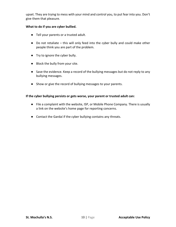upset. They are trying to mess with your mind and control you, to put fear into you. Don't give them that pleasure.

#### **What to do if you are cyber bullied.**

- Tell your parents or a trusted adult.
- Do not retaliate this will only feed into the cyber bully and could make other people think you are part of the problem.
- Try to ignore the cyber bully.
- Block the bully from your site.
- Save the evidence. Keep a record of the bullying messages but do not reply to any bullying messages.
- Show or give the record of bullying messages to your parents.

#### **If the cyber bullying persists or gets worse, your parent or trusted adult can:**

- File a complaint with the website, ISP, or Mobile Phone Company. There is usually a link on the website's home page for reporting concerns.
- Contact the Gardaí if the cyber bullying contains any threats.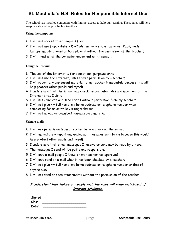# <span id="page-10-0"></span>**St. Mochulla's N.S. Rules for Responsible Internet Use**

The school has installed computers with Internet access to help our learning. These rules will help keep us safe and help us be fair to others.

#### **Using the computers:**

- 1. I will not access other people's files;
- 2. I will not use floppy disks. CD-ROMs, memory sticks, cameras, iPads, iPads, laptops, mobile phones or MP3 players without the permission of the teacher;
- 3. I will treat all of the computer equipment with respect.

#### **Using the Internet:**

- 1. The use of the Internet is for educational purposes only;
- 2. I will not use the Internet, unless given permission by a teacher;
- 3. I will report any unpleasant material to my teacher immediately because this will help protect other pupils and myself;
- 4. I understand that the school may check my computer files and may monitor the Internet sites I visit;
- 5. I will not complete and send forms without permission from my teacher;
- 6. I will not give my full name, my home address or telephone number when completing forms or while visiting websites;
- 7. I will not upload or download non-approved material.

#### **Using e-mail:**

- 1. I will ask permission from a teacher before checking the e-mail;
- 2. I will immediately report any unpleasant messages sent to me because this would help protect other pupils and myself;
- 3. I understand that e-mail messages I receive or send may be read by others;
- 4. The messages I send will be polite and responsible;
- 5. I will only e-mail people I know, or my teacher has approved;
- 6. I will only send an e-mail when it has been checked by a teacher;
- 7. I will not give my full name, my home address or telephone number or that of anyone else;
- 8. I will not send or open attachments without the permission of the teacher.

#### **I understand that failure to comply with the rules will mean withdrawal of Internet privileges.**

| Signed: |  |
|---------|--|
| Class:  |  |
| Date:   |  |